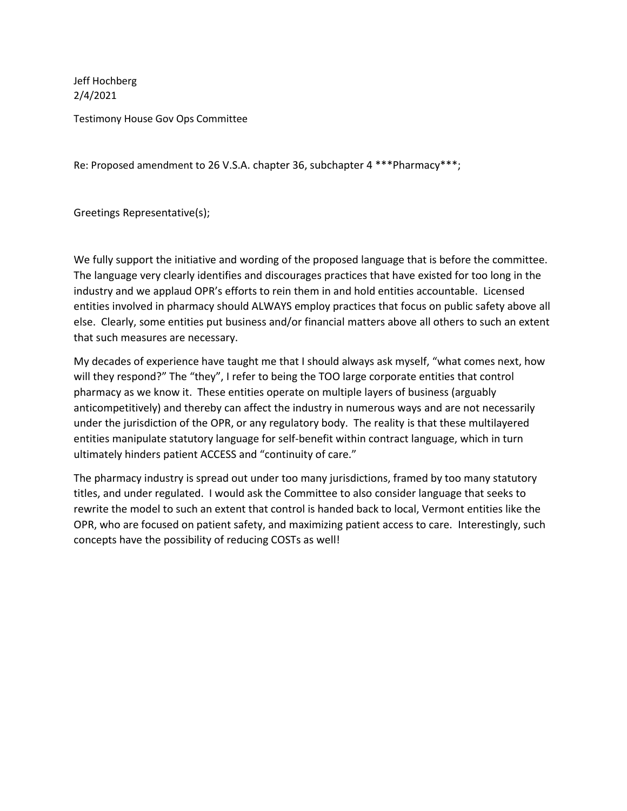Jeff Hochberg 2/4/2021

Testimony House Gov Ops Committee

Re: Proposed amendment to 26 V.S.A. chapter 36, subchapter 4 \*\*\*Pharmacy\*\*\*;

Greetings Representative(s);

We fully support the initiative and wording of the proposed language that is before the committee. The language very clearly identifies and discourages practices that have existed for too long in the industry and we applaud OPR's efforts to rein them in and hold entities accountable. Licensed entities involved in pharmacy should ALWAYS employ practices that focus on public safety above all else. Clearly, some entities put business and/or financial matters above all others to such an extent that such measures are necessary.

My decades of experience have taught me that I should always ask myself, "what comes next, how will they respond?" The "they", I refer to being the TOO large corporate entities that control pharmacy as we know it. These entities operate on multiple layers of business (arguably anticompetitively) and thereby can affect the industry in numerous ways and are not necessarily under the jurisdiction of the OPR, or any regulatory body. The reality is that these multilayered entities manipulate statutory language for self-benefit within contract language, which in turn ultimately hinders patient ACCESS and "continuity of care."

The pharmacy industry is spread out under too many jurisdictions, framed by too many statutory titles, and under regulated. I would ask the Committee to also consider language that seeks to rewrite the model to such an extent that control is handed back to local, Vermont entities like the OPR, who are focused on patient safety, and maximizing patient access to care. Interestingly, such concepts have the possibility of reducing COSTs as well!